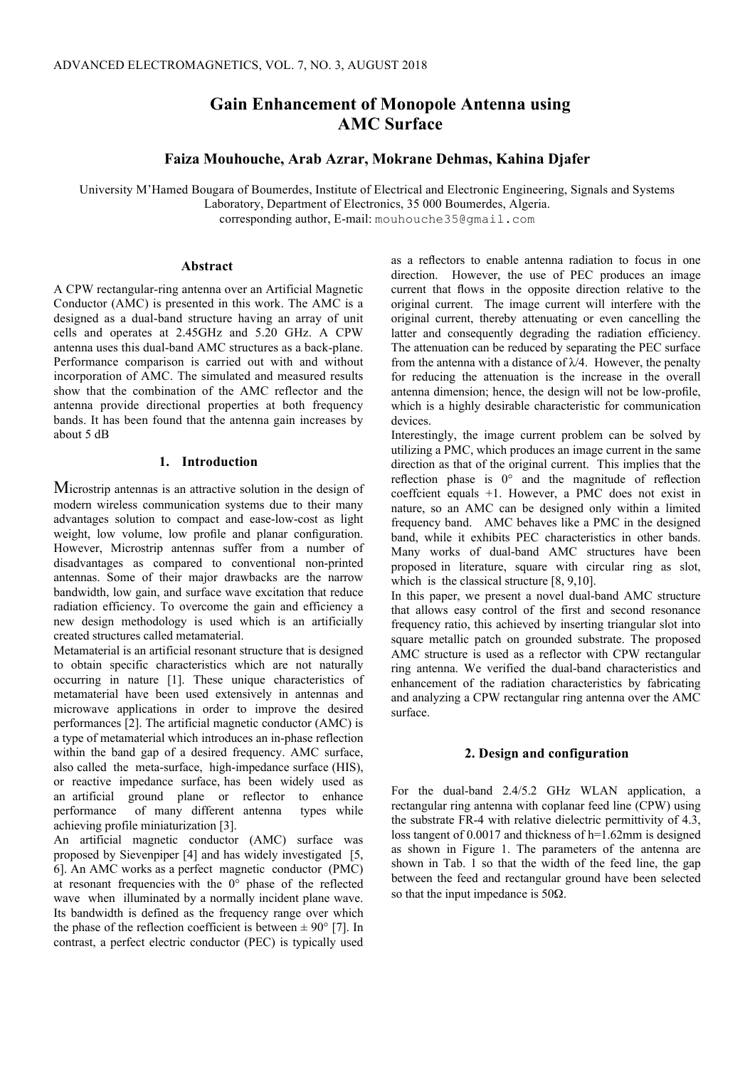# **Gain Enhancement of Monopole Antenna using AMC Surface**

# **Faiza Mouhouche, Arab Azrar, Mokrane Dehmas, Kahina Djafer**

University M'Hamed Bougara of Boumerdes, Institute of Electrical and Electronic Engineering, Signals and Systems Laboratory, Department of Electronics, 35 000 Boumerdes, Algeria.

corresponding author, E-mail: mouhouche35@gmail.com

#### **Abstract**

A CPW rectangular-ring antenna over an Artificial Magnetic Conductor (AMC) is presented in this work. The AMC is a designed as a dual-band structure having an array of unit cells and operates at 2.45GHz and 5.20 GHz. A CPW antenna uses this dual-band AMC structures as a back-plane. Performance comparison is carried out with and without incorporation of AMC. The simulated and measured results show that the combination of the AMC reflector and the antenna provide directional properties at both frequency bands. It has been found that the antenna gain increases by about 5 dB

### **1. Introduction**

Microstrip antennas is an attractive solution in the design of modern wireless communication systems due to their many advantages solution to compact and ease-low-cost as light weight, low volume, low profile and planar configuration. However, Microstrip antennas suffer from a number of disadvantages as compared to conventional non-printed antennas. Some of their major drawbacks are the narrow bandwidth, low gain, and surface wave excitation that reduce radiation efficiency. To overcome the gain and efficiency a new design methodology is used which is an artificially created structures called metamaterial.

Metamaterial is an artificial resonant structure that is designed to obtain specific characteristics which are not naturally occurring in nature [1]. These unique characteristics of metamaterial have been used extensively in antennas and microwave applications in order to improve the desired performances [2]. The artificial magnetic conductor (AMC) is a type of metamaterial which introduces an in-phase reflection within the band gap of a desired frequency. AMC surface, also called the meta-surface, high-impedance surface (HIS), or reactive impedance surface, has been widely used as an artificial ground plane or reflector to enhance performance of many different antenna types while achieving profile miniaturization [3].

An artificial magnetic conductor (AMC) surface was proposed by Sievenpiper [4] and has widely investigated [5, 6]. An AMC works as a perfect magnetic conductor (PMC) at resonant frequencies with the 0° phase of the reflected wave when illuminated by a normally incident plane wave. Its bandwidth is defined as the frequency range over which the phase of the reflection coefficient is between  $\pm$  90° [7]. In contrast, a perfect electric conductor (PEC) is typically used as a reflectors to enable antenna radiation to focus in one direction. However, the use of PEC produces an image current that flows in the opposite direction relative to the original current. The image current will interfere with the original current, thereby attenuating or even cancelling the latter and consequently degrading the radiation efficiency. The attenuation can be reduced by separating the PEC surface from the antenna with a distance of  $\lambda/4$ . However, the penalty for reducing the attenuation is the increase in the overall antenna dimension; hence, the design will not be low-profile, which is a highly desirable characteristic for communication devices.

Interestingly, the image current problem can be solved by utilizing a PMC, which produces an image current in the same direction as that of the original current. This implies that the reflection phase is 0° and the magnitude of reflection coeffcient equals +1. However, a PMC does not exist in nature, so an AMC can be designed only within a limited frequency band. AMC behaves like a PMC in the designed band, while it exhibits PEC characteristics in other bands. Many works of dual-band AMC structures have been proposed in literature, square with circular ring as slot, which is the classical structure [8, 9,10].

In this paper, we present a novel dual-band AMC structure that allows easy control of the first and second resonance frequency ratio, this achieved by inserting triangular slot into square metallic patch on grounded substrate. The proposed AMC structure is used as a reflector with CPW rectangular ring antenna. We verified the dual-band characteristics and enhancement of the radiation characteristics by fabricating and analyzing a CPW rectangular ring antenna over the AMC surface.

### **2. Design and configuration**

For the dual-band 2.4/5.2 GHz WLAN application, a rectangular ring antenna with coplanar feed line (CPW) using the substrate FR-4 with relative dielectric permittivity of 4.3, loss tangent of 0.0017 and thickness of h=1.62mm is designed as shown in Figure 1. The parameters of the antenna are shown in Tab. 1 so that the width of the feed line, the gap between the feed and rectangular ground have been selected so that the input impedance is 50Ω.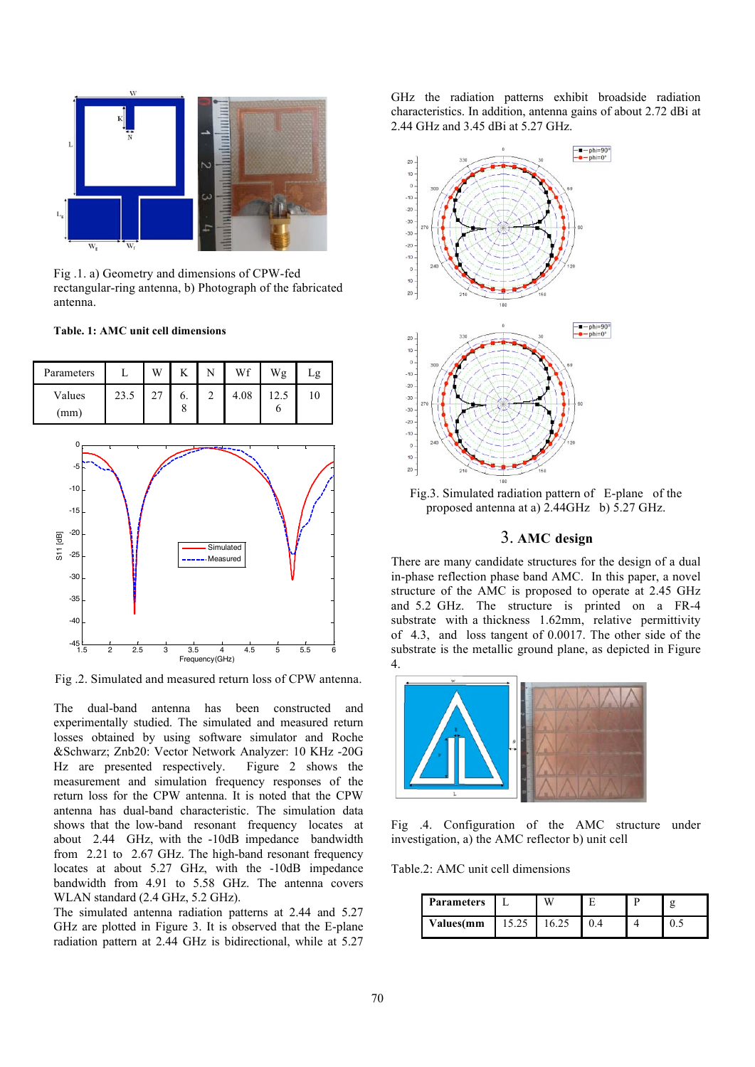

Fig .1. a) Geometry and dimensions of CPW-fed rectangular-ring antenna, b) Photograph of the fabricated antenna.

### **Table. 1: AMC unit cell dimensions**



Frequency(GHz) Fig .2. Simulated and measured return loss of CPW antenna.

1.5 2 2.5 3 3.5 4 4.5 5 5.5 6

The dual-band antenna has been constructed and experimentally studied. The simulated and measured return losses obtained by using software simulator and Roche &Schwarz; Znb20: Vector Network Analyzer: 10 KHz -20G Hz are presented respectively. Figure 2 shows the measurement and simulation frequency responses of the return loss for the CPW antenna. It is noted that the CPW antenna has dual-band characteristic. The simulation data shows that the low-band resonant frequency locates at about 2.44 GHz, with the -10dB impedance bandwidth from 2.21 to 2.67 GHz. The high-band resonant frequency locates at about 5.27 GHz, with the -10dB impedance bandwidth from 4.91 to 5.58 GHz. The antenna covers WLAN standard (2.4 GHz, 5.2 GHz).

The simulated antenna radiation patterns at 2.44 and 5.27 GHz are plotted in Figure 3. It is observed that the E-plane radiation pattern at 2.44 GHz is bidirectional, while at 5.27

GHz the radiation patterns exhibit broadside radiation characteristics. In addition, antenna gains of about 2.72 dBi at 2.44 GHz and 3.45 dBi at 5.27 GHz.



Fig.3. Simulated radiation pattern of E-plane of the proposed antenna at a) 2.44GHz b) 5.27 GHz.

# 3. **AMC design**

There are many candidate structures for the design of a dual in-phase reflection phase band AMC. In this paper, a novel structure of the AMC is proposed to operate at 2.45 GHz and 5.2 GHz. The structure is printed on a FR-4 substrate with a thickness 1.62mm, relative permittivity of 4.3, and loss tangent of 0.0017. The other side of the substrate is the metallic ground plane, as depicted in Figure 4.



Fig .4. Configuration of the AMC structure under investigation, a) the AMC reflector b) unit cell

Table.2: AMC unit cell dimensions

| <b>Parameters</b> |       |  |     |
|-------------------|-------|--|-----|
| <b>Values(mm</b>  | 15.25 |  | ∪.⊾ |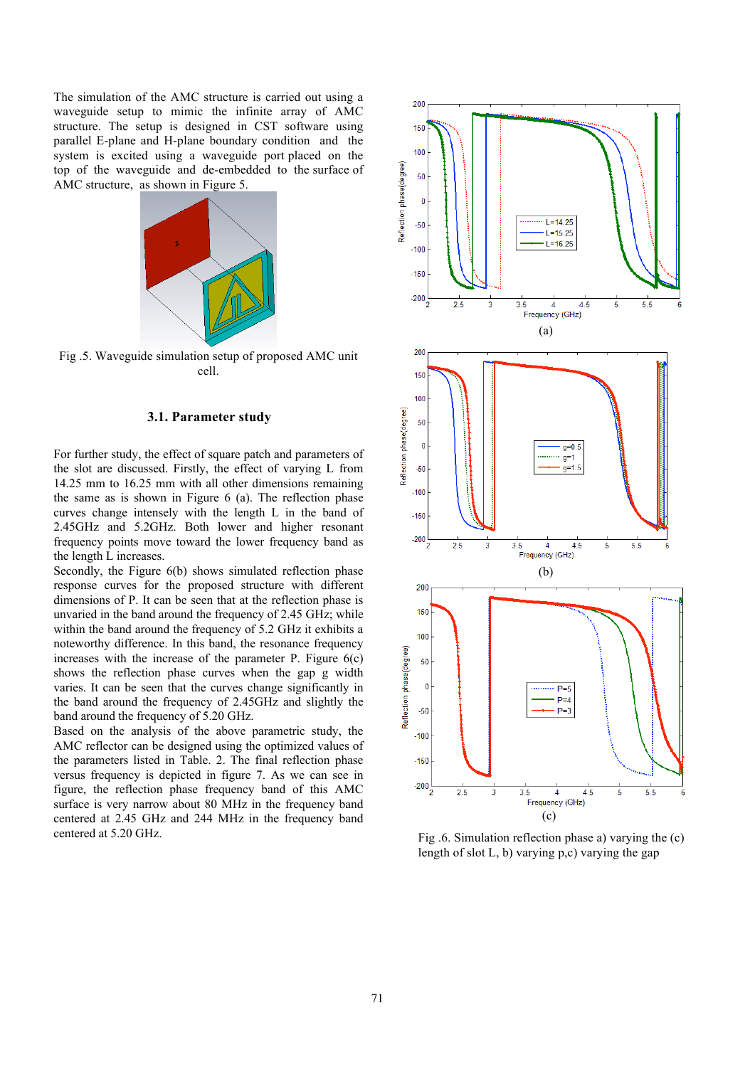The simulation of the AMC structure is carried out using a waveguide setup to mimic the infinite array of AMC structure. The setup is designed in CST software using parallel E-plane and H-plane boundary condition and the system is excited using a waveguide port placed on the top of the waveguide and de-embedded to the surface of AMC structure, as shown in Figure 5.



Fig .5. Waveguide simulation setup of proposed AMC unit cell.

## **3.1. Parameter study**

For further study, the effect of square patch and parameters of the slot are discussed. Firstly, the effect of varying L from 14.25 mm to 16.25 mm with all other dimensions remaining the same as is shown in Figure 6 (a). The reflection phase curves change intensely with the length L in the band of 2.45GHz and 5.2GHz. Both lower and higher resonant frequency points move toward the lower frequency band as the length L increases.

Secondly, the Figure 6(b) shows simulated reflection phase response curves for the proposed structure with different dimensions of P. It can be seen that at the reflection phase is unvaried in the band around the frequency of 2.45 GHz; while within the band around the frequency of 5.2 GHz it exhibits a noteworthy difference. In this band, the resonance frequency increases with the increase of the parameter P. Figure  $6(c)$ shows the reflection phase curves when the gap g width varies. It can be seen that the curves change significantly in the band around the frequency of 2.45GHz and slightly the band around the frequency of 5.20 GHz.

Based on the analysis of the above parametric study, the AMC reflector can be designed using the optimized values of the parameters listed in Table. 2. The final reflection phase versus frequency is depicted in figure 7. As we can see in figure, the reflection phase frequency band of this AMC surface is very narrow about 80 MHz in the frequency band centered at 2.45 GHz and 244 MHz in the frequency band centered at 5.20 GHz.



Fig .6. Simulation reflection phase a) varying the (c) length of slot L, b) varying p,c) varying the gap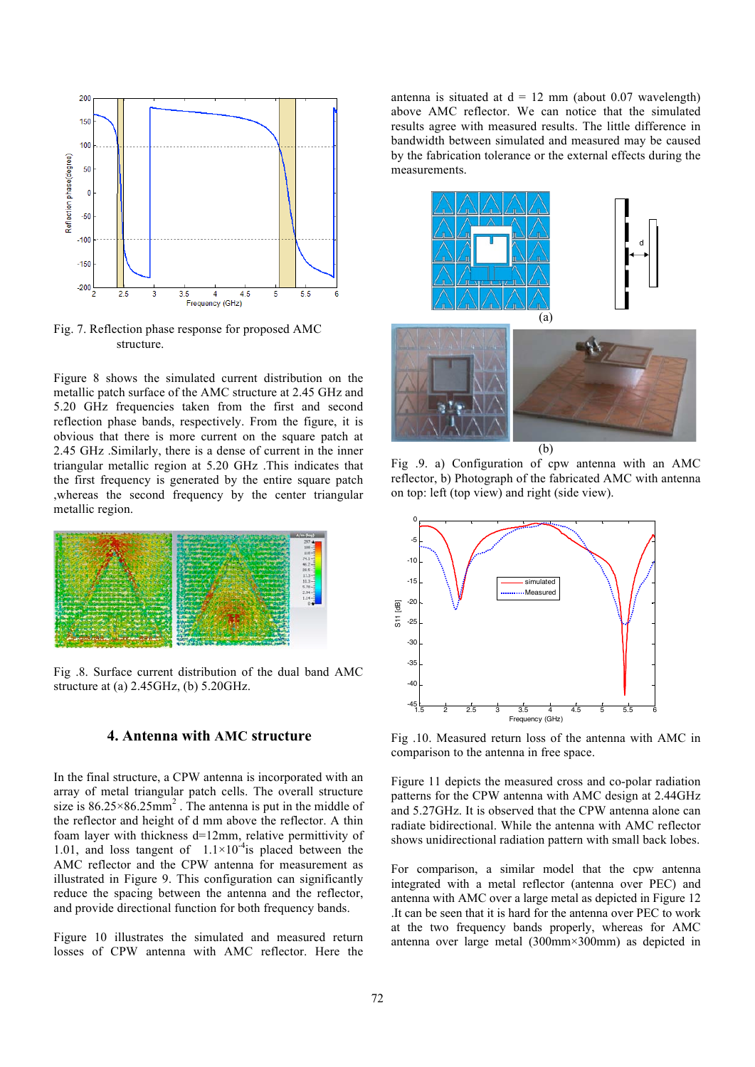

Fig. 7. Reflection phase response for proposed AMC structure.

Figure 8 shows the simulated current distribution on the metallic patch surface of the AMC structure at 2.45 GHz and 5.20 GHz frequencies taken from the first and second reflection phase bands, respectively. From the figure, it is obvious that there is more current on the square patch at 2.45 GHz .Similarly, there is a dense of current in the inner triangular metallic region at 5.20 GHz .This indicates that the first frequency is generated by the entire square patch ,whereas the second frequency by the center triangular metallic region.



Fig .8. Surface current distribution of the dual band AMC structure at (a) 2.45GHz, (b) 5.20GHz.

# **4. Antenna with AMC structure**

In the final structure, a CPW antenna is incorporated with an array of metal triangular patch cells. The overall structure size is  $86.25 \times 86.25$  mm<sup>2</sup>. The antenna is put in the middle of the reflector and height of d mm above the reflector. A thin foam layer with thickness d=12mm, relative permittivity of 1.01, and loss tangent of  $1.1 \times 10^{-4}$  is placed between the AMC reflector and the CPW antenna for measurement as illustrated in Figure 9. This configuration can significantly reduce the spacing between the antenna and the reflector, and provide directional function for both frequency bands.

Figure 10 illustrates the simulated and measured return losses of CPW antenna with AMC reflector. Here the antenna is situated at  $d = 12$  mm (about 0.07 wavelength) above AMC reflector. We can notice that the simulated results agree with measured results. The little difference in bandwidth between simulated and measured may be caused by the fabrication tolerance or the external effects during the measurements.



Fig .9. a) Configuration of cpw antenna with an AMC reflector, b) Photograph of the fabricated AMC with antenna on top: left (top view) and right (side view).



Fig .10. Measured return loss of the antenna with AMC in comparison to the antenna in free space.

Figure 11 depicts the measured cross and co-polar radiation patterns for the CPW antenna with AMC design at 2.44GHz and 5.27GHz. It is observed that the CPW antenna alone can radiate bidirectional. While the antenna with AMC reflector shows unidirectional radiation pattern with small back lobes.

For comparison, a similar model that the cpw antenna integrated with a metal reflector (antenna over PEC) and antenna with AMC over a large metal as depicted in Figure 12 .It can be seen that it is hard for the antenna over PEC to work at the two frequency bands properly, whereas for AMC antenna over large metal (300mm×300mm) as depicted in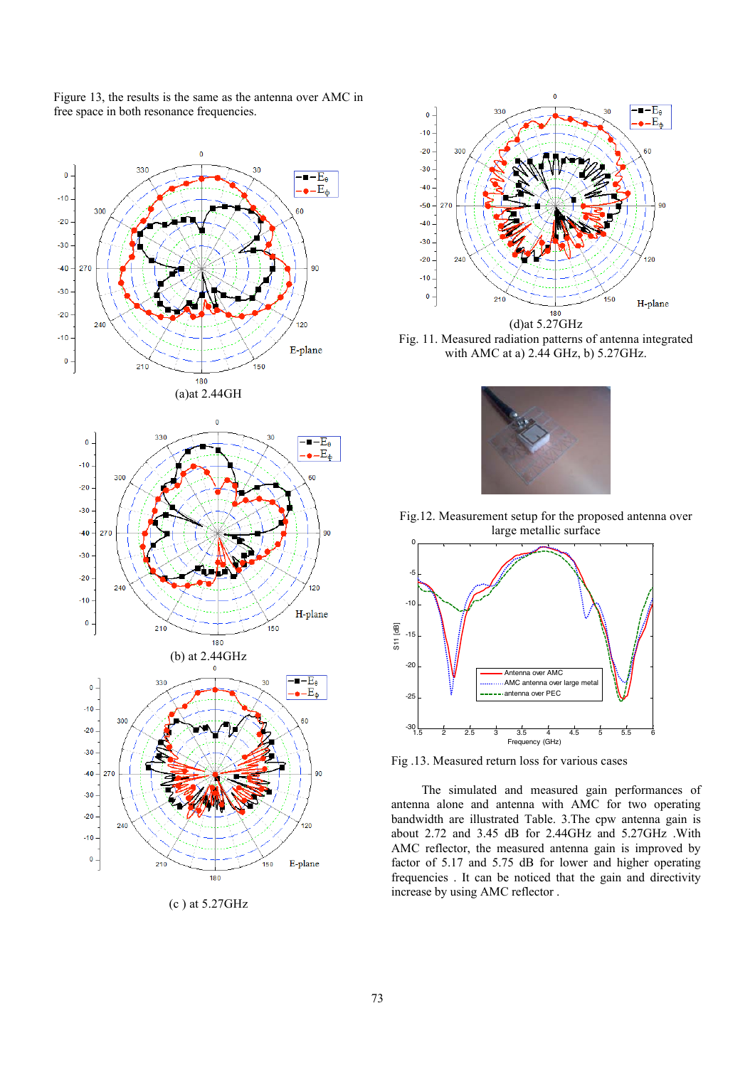



(c ) at 5.27GHz



Fig. 11. Measured radiation patterns of antenna integrated with AMC at a) 2.44 GHz, b) 5.27GHz.



Fig.12. Measurement setup for the proposed antenna over large metallic surface



Fig .13. Measured return loss for various cases

 The simulated and measured gain performances of antenna alone and antenna with AMC for two operating bandwidth are illustrated Table. 3.The cpw antenna gain is about 2.72 and 3.45 dB for 2.44GHz and 5.27GHz .With AMC reflector, the measured antenna gain is improved by factor of 5.17 and 5.75 dB for lower and higher operating frequencies . It can be noticed that the gain and directivity increase by using AMC reflector .